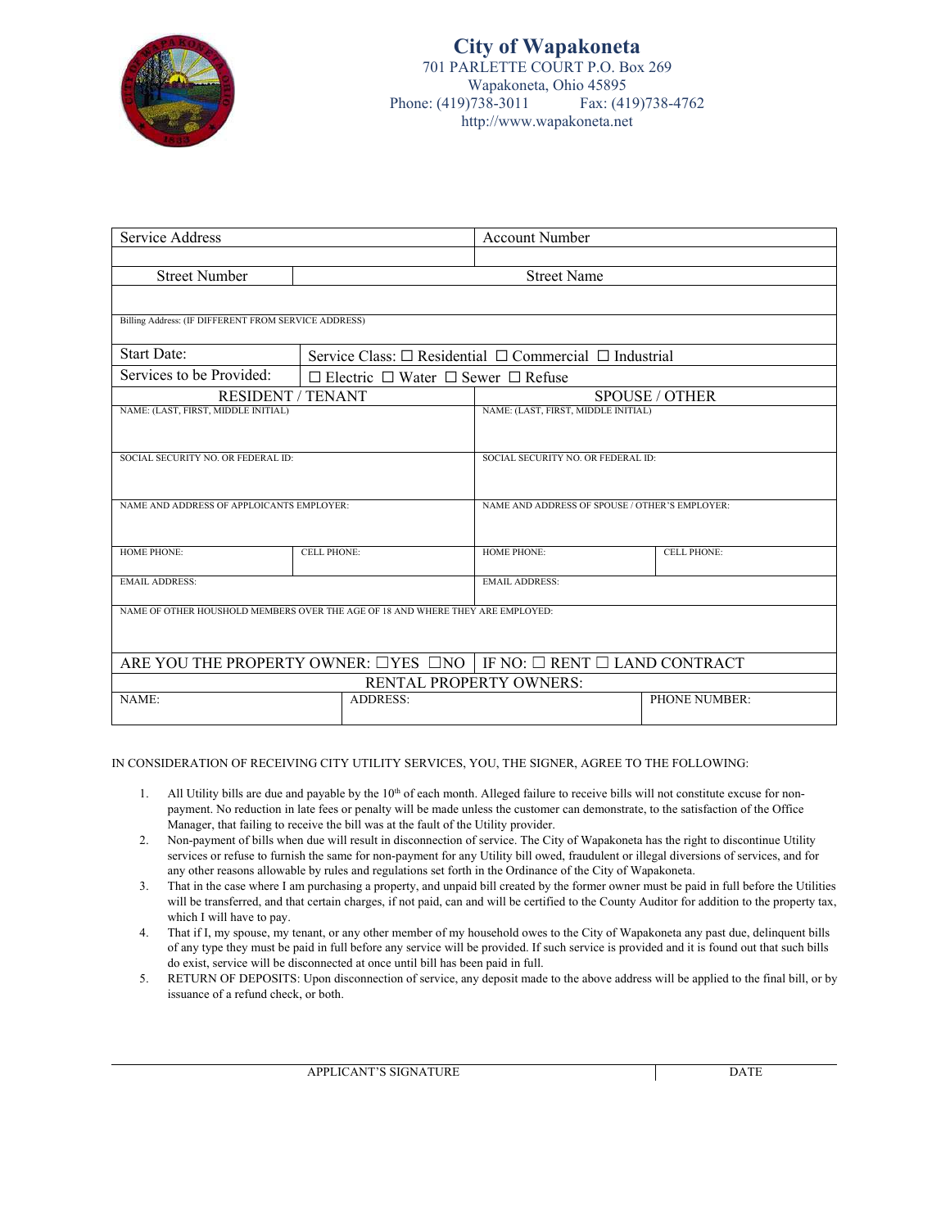

| Service Address                                                                            |                                                                       | <b>Account Number</b>                          |                                     |  |
|--------------------------------------------------------------------------------------------|-----------------------------------------------------------------------|------------------------------------------------|-------------------------------------|--|
|                                                                                            |                                                                       |                                                |                                     |  |
| <b>Street Number</b>                                                                       | <b>Street Name</b>                                                    |                                                |                                     |  |
|                                                                                            |                                                                       |                                                |                                     |  |
| Billing Address: (IF DIFFERENT FROM SERVICE ADDRESS)                                       |                                                                       |                                                |                                     |  |
| <b>Start Date:</b>                                                                         | Service Class: $\Box$ Residential $\Box$ Commercial $\Box$ Industrial |                                                |                                     |  |
| Services to be Provided:                                                                   | $\Box$ Electric $\Box$ Water $\Box$ Sewer $\Box$ Refuse               |                                                |                                     |  |
|                                                                                            | <b>RESIDENT / TENANT</b>                                              |                                                | <b>SPOUSE / OTHER</b>               |  |
|                                                                                            | NAME: (LAST, FIRST, MIDDLE INITIAL)                                   |                                                | NAME: (LAST, FIRST, MIDDLE INITIAL) |  |
|                                                                                            |                                                                       |                                                |                                     |  |
| SOCIAL SECURITY NO. OR FEDERAL ID:                                                         |                                                                       | SOCIAL SECURITY NO. OR FEDERAL ID:             |                                     |  |
|                                                                                            |                                                                       |                                                |                                     |  |
| NAME AND ADDRESS OF APPLOICANTS EMPLOYER:                                                  |                                                                       | NAME AND ADDRESS OF SPOUSE / OTHER'S EMPLOYER: |                                     |  |
|                                                                                            |                                                                       |                                                |                                     |  |
|                                                                                            |                                                                       |                                                |                                     |  |
| <b>HOME PHONE:</b>                                                                         | <b>CELL PHONE:</b>                                                    | <b>HOME PHONE:</b>                             | <b>CELL PHONE:</b>                  |  |
| <b>EMAIL ADDRESS:</b>                                                                      |                                                                       | <b>EMAIL ADDRESS:</b>                          |                                     |  |
|                                                                                            |                                                                       |                                                |                                     |  |
| NAME OF OTHER HOUSHOLD MEMBERS OVER THE AGE OF 18 AND WHERE THEY ARE EMPLOYED:             |                                                                       |                                                |                                     |  |
|                                                                                            |                                                                       |                                                |                                     |  |
| ARE YOU THE PROPERTY OWNER: $\Box$ YES $\Box$ NO   IF NO: $\Box$ RENT $\Box$ LAND CONTRACT |                                                                       |                                                |                                     |  |
|                                                                                            |                                                                       | RENTAL PROPERTY OWNERS:                        |                                     |  |
| NAME:                                                                                      | <b>ADDRESS:</b>                                                       |                                                | PHONE NUMBER:                       |  |
|                                                                                            |                                                                       |                                                |                                     |  |

IN CONSIDERATION OF RECEIVING CITY UTILITY SERVICES, YOU, THE SIGNER, AGREE TO THE FOLLOWING:

- 1. All Utility bills are due and payable by the 10<sup>th</sup> of each month. Alleged failure to receive bills will not constitute excuse for nonpayment. No reduction in late fees or penalty will be made unless the customer can demonstrate, to the satisfaction of the Office Manager, that failing to receive the bill was at the fault of the Utility provider.
- 2. Non-payment of bills when due will result in disconnection of service. The City of Wapakoneta has the right to discontinue Utility services or refuse to furnish the same for non-payment for any Utility bill owed, fraudulent or illegal diversions of services, and for any other reasons allowable by rules and regulations set forth in the Ordinance of the City of Wapakoneta.
- 3. That in the case where I am purchasing a property, and unpaid bill created by the former owner must be paid in full before the Utilities will be transferred, and that certain charges, if not paid, can and will be certified to the County Auditor for addition to the property tax, which I will have to pay.
- 4. That if I, my spouse, my tenant, or any other member of my household owes to the City of Wapakoneta any past due, delinquent bills of any type they must be paid in full before any service will be provided. If such service is provided and it is found out that such bills do exist, service will be disconnected at once until bill has been paid in full.
- 5. RETURN OF DEPOSITS: Upon disconnection of service, any deposit made to the above address will be applied to the final bill, or by issuance of a refund check, or both.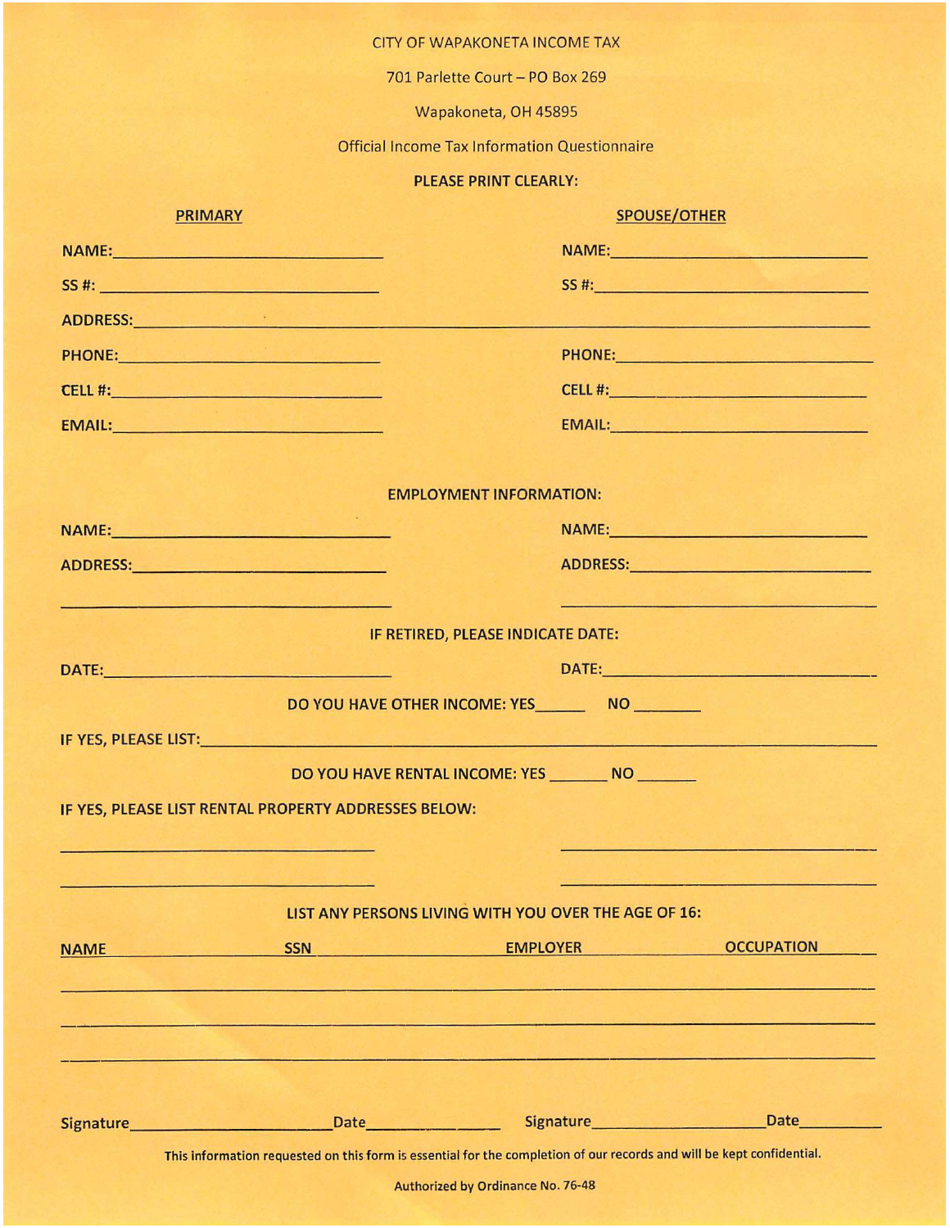## CITY OF WAPAKONETA INCOME TAX

701 Parlette Court - PO Box 269

Wapakoneta, OH 45895

**Official Income Tax Information Questionnaire** 

## PLEASE PRINT CLEARLY:

| <b>PRIMARY</b>                                                                                                                                                                                                                 | <b>SPOUSE/OTHER</b>                                                                                                    |  |  |
|--------------------------------------------------------------------------------------------------------------------------------------------------------------------------------------------------------------------------------|------------------------------------------------------------------------------------------------------------------------|--|--|
| NAME:                                                                                                                                                                                                                          | NAME:                                                                                                                  |  |  |
| SS #: New York Products and Products and Products and Products and Products and Products and Products and                                                                                                                      | SS #:                                                                                                                  |  |  |
| ADDRESS: AND ARRIVE CONTROL CONTROL CONTROL CONTROL CONTROL CONTROL CONTROL CONTROL CONTROL CONTROL CONTROL CONTROL CONTROL CONTROL CONTROL CONTROL CONTROL CONTROL CONTROL CONTROL CONTROL CONTROL CONTROL CONTROL CONTROL CO | <u> 1986 - John Aleksandrije, premije i postala i postala i postala i postala i postala i postala i postala i post</u> |  |  |
| PHONE:                                                                                                                                                                                                                         | PHONE: PHONE                                                                                                           |  |  |
|                                                                                                                                                                                                                                |                                                                                                                        |  |  |
| EMAIL: EMAIL: Property of the Company of the Company of the Company of the Company of the Company of the Company of the Company of the Company of the Company of the Company of the Company of the Company of the Company of t | EMAIL: EMAIL:                                                                                                          |  |  |
|                                                                                                                                                                                                                                | <b>EMPLOYMENT INFORMATION:</b>                                                                                         |  |  |
| NAME: NAME (2008)                                                                                                                                                                                                              | NAME: NAME:                                                                                                            |  |  |
|                                                                                                                                                                                                                                | ADDRESS: ADDRESS:                                                                                                      |  |  |
| <u> 1970 - Antonio Maria de Alexandro de Alexandro de </u>                                                                                                                                                                     | <u> 1958 - Antonio Alemania, američki profesor († 1958)</u><br>IF RETIRED, PLEASE INDICATE DATE:                       |  |  |
| DATE: And the contract of the contract of the contract of the contract of the contract of the contract of the                                                                                                                  | DATE:                                                                                                                  |  |  |
|                                                                                                                                                                                                                                | DO YOU HAVE OTHER INCOME: YES NO                                                                                       |  |  |
| IF YES, PLEASE LIST: North and the set of the set of the set of the set of the set of the set of the set of the                                                                                                                |                                                                                                                        |  |  |
| IF YES, PLEASE LIST RENTAL PROPERTY ADDRESSES BELOW:<br>the control of the control of the control of the control of the control of the control of                                                                              | DO YOU HAVE RENTAL INCOME: YES ________ NO _______                                                                     |  |  |
| المستوار المستقلب المستوار والمستنا والمستور والمستورين                                                                                                                                                                        | LIST ANY PERSONS LIVING WITH YOU OVER THE AGE OF 16:                                                                   |  |  |
| <b>SSN</b><br><b>NAME</b>                                                                                                                                                                                                      | <b>OCCUPATION</b><br><b>EMPLOYER</b><br>فالمجلول المالي المتألف الأشران                                                |  |  |
|                                                                                                                                                                                                                                |                                                                                                                        |  |  |
|                                                                                                                                                                                                                                |                                                                                                                        |  |  |
|                                                                                                                                                                                                                                |                                                                                                                        |  |  |
|                                                                                                                                                                                                                                | Signature Date Date Signature Date Date                                                                                |  |  |
|                                                                                                                                                                                                                                | This information requested on this form is essential for the completion of our records and will be kept confidential.  |  |  |
|                                                                                                                                                                                                                                | Authorized by Ordinance No. 76-48                                                                                      |  |  |